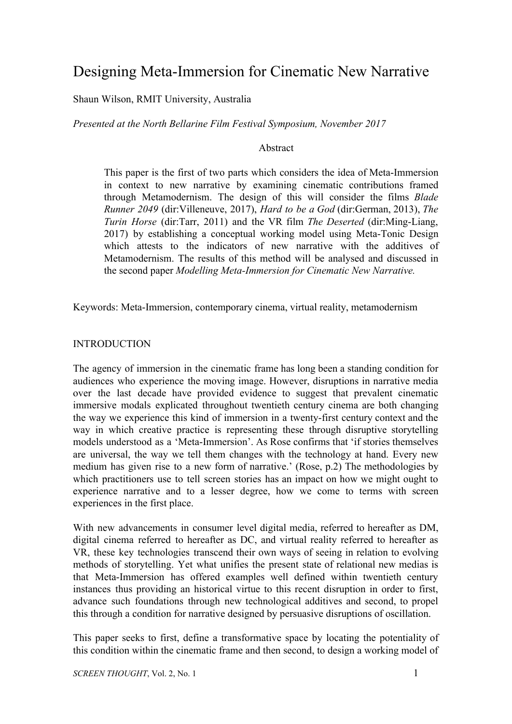# Designing Meta-Immersion for Cinematic New Narrative

Shaun Wilson, RMIT University, Australia

*Presented at the North Bellarine Film Festival Symposium, November 2017*

# Abstract

This paper is the first of two parts which considers the idea of Meta-Immersion in context to new narrative by examining cinematic contributions framed through Metamodernism. The design of this will consider the films *Blade Runner 2049* (dir:Villeneuve, 2017), *Hard to be a God* (dir:German, 2013), *The Turin Horse* (dir:Tarr, 2011) and the VR film *The Deserted* (dir:Ming-Liang, 2017) by establishing a conceptual working model using Meta-Tonic Design which attests to the indicators of new narrative with the additives of Metamodernism. The results of this method will be analysed and discussed in the second paper *Modelling Meta-Immersion for Cinematic New Narrative.*

Keywords: Meta-Immersion, contemporary cinema, virtual reality, metamodernism

# **INTRODUCTION**

The agency of immersion in the cinematic frame has long been a standing condition for audiences who experience the moving image. However, disruptions in narrative media over the last decade have provided evidence to suggest that prevalent cinematic immersive modals explicated throughout twentieth century cinema are both changing the way we experience this kind of immersion in a twenty-first century context and the way in which creative practice is representing these through disruptive storytelling models understood as a 'Meta-Immersion'. As Rose confirms that 'if stories themselves are universal, the way we tell them changes with the technology at hand. Every new medium has given rise to a new form of narrative.' (Rose, p.2) The methodologies by which practitioners use to tell screen stories has an impact on how we might ought to experience narrative and to a lesser degree, how we come to terms with screen experiences in the first place.

With new advancements in consumer level digital media, referred to hereafter as DM, digital cinema referred to hereafter as DC, and virtual reality referred to hereafter as VR, these key technologies transcend their own ways of seeing in relation to evolving methods of storytelling. Yet what unifies the present state of relational new medias is that Meta-Immersion has offered examples well defined within twentieth century instances thus providing an historical virtue to this recent disruption in order to first, advance such foundations through new technological additives and second, to propel this through a condition for narrative designed by persuasive disruptions of oscillation.

This paper seeks to first, define a transformative space by locating the potentiality of this condition within the cinematic frame and then second, to design a working model of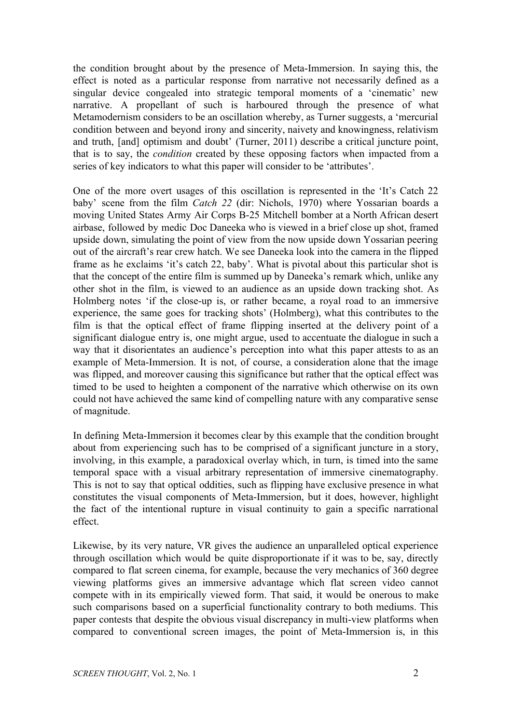the condition brought about by the presence of Meta-Immersion. In saying this, the effect is noted as a particular response from narrative not necessarily defined as a singular device congealed into strategic temporal moments of a 'cinematic' new narrative. A propellant of such is harboured through the presence of what Metamodernism considers to be an oscillation whereby, as Turner suggests, a 'mercurial condition between and beyond irony and sincerity, naivety and knowingness, relativism and truth, [and] optimism and doubt' (Turner, 2011) describe a critical juncture point, that is to say, the *condition* created by these opposing factors when impacted from a series of key indicators to what this paper will consider to be 'attributes'.

One of the more overt usages of this oscillation is represented in the 'It's Catch 22 baby' scene from the film *Catch 22* (dir: Nichols, 1970) where Yossarian boards a moving United States Army Air Corps B-25 Mitchell bomber at a North African desert airbase, followed by medic Doc Daneeka who is viewed in a brief close up shot, framed upside down, simulating the point of view from the now upside down Yossarian peering out of the aircraft's rear crew hatch. We see Daneeka look into the camera in the flipped frame as he exclaims 'it's catch 22, baby'. What is pivotal about this particular shot is that the concept of the entire film is summed up by Daneeka's remark which, unlike any other shot in the film, is viewed to an audience as an upside down tracking shot. As Holmberg notes 'if the close-up is, or rather became, a royal road to an immersive experience, the same goes for tracking shots' (Holmberg), what this contributes to the film is that the optical effect of frame flipping inserted at the delivery point of a significant dialogue entry is, one might argue, used to accentuate the dialogue in such a way that it disorientates an audience's perception into what this paper attests to as an example of Meta-Immersion. It is not, of course, a consideration alone that the image was flipped, and moreover causing this significance but rather that the optical effect was timed to be used to heighten a component of the narrative which otherwise on its own could not have achieved the same kind of compelling nature with any comparative sense of magnitude.

In defining Meta-Immersion it becomes clear by this example that the condition brought about from experiencing such has to be comprised of a significant juncture in a story, involving, in this example, a paradoxical overlay which, in turn, is timed into the same temporal space with a visual arbitrary representation of immersive cinematography. This is not to say that optical oddities, such as flipping have exclusive presence in what constitutes the visual components of Meta-Immersion, but it does, however, highlight the fact of the intentional rupture in visual continuity to gain a specific narrational effect.

Likewise, by its very nature, VR gives the audience an unparalleled optical experience through oscillation which would be quite disproportionate if it was to be, say, directly compared to flat screen cinema, for example, because the very mechanics of 360 degree viewing platforms gives an immersive advantage which flat screen video cannot compete with in its empirically viewed form. That said, it would be onerous to make such comparisons based on a superficial functionality contrary to both mediums. This paper contests that despite the obvious visual discrepancy in multi-view platforms when compared to conventional screen images, the point of Meta-Immersion is, in this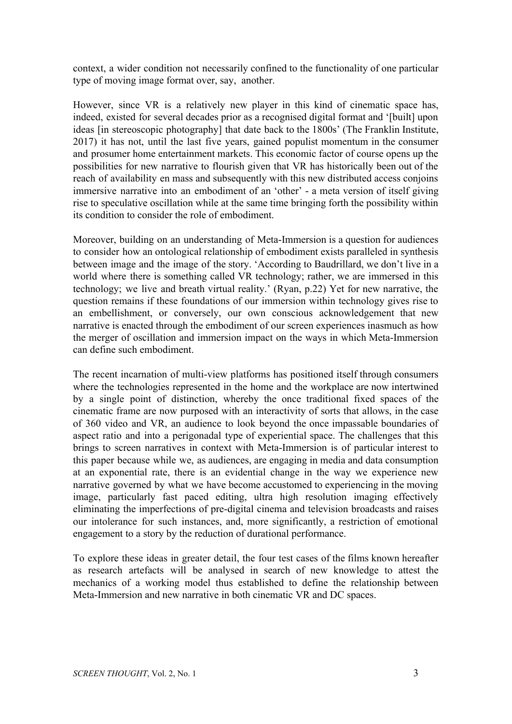context, a wider condition not necessarily confined to the functionality of one particular type of moving image format over, say, another.

However, since VR is a relatively new player in this kind of cinematic space has, indeed, existed for several decades prior as a recognised digital format and '[built] upon ideas [in stereoscopic photography] that date back to the 1800s' (The Franklin Institute, 2017) it has not, until the last five years, gained populist momentum in the consumer and prosumer home entertainment markets. This economic factor of course opens up the possibilities for new narrative to flourish given that VR has historically been out of the reach of availability en mass and subsequently with this new distributed access conjoins immersive narrative into an embodiment of an 'other' - a meta version of itself giving rise to speculative oscillation while at the same time bringing forth the possibility within its condition to consider the role of embodiment.

Moreover, building on an understanding of Meta-Immersion is a question for audiences to consider how an ontological relationship of embodiment exists paralleled in synthesis between image and the image of the story. 'According to Baudrillard, we don't live in a world where there is something called VR technology; rather, we are immersed in this technology; we live and breath virtual reality.' (Ryan, p.22) Yet for new narrative, the question remains if these foundations of our immersion within technology gives rise to an embellishment, or conversely, our own conscious acknowledgement that new narrative is enacted through the embodiment of our screen experiences inasmuch as how the merger of oscillation and immersion impact on the ways in which Meta-Immersion can define such embodiment.

The recent incarnation of multi-view platforms has positioned itself through consumers where the technologies represented in the home and the workplace are now intertwined by a single point of distinction, whereby the once traditional fixed spaces of the cinematic frame are now purposed with an interactivity of sorts that allows, in the case of 360 video and VR, an audience to look beyond the once impassable boundaries of aspect ratio and into a perigonadal type of experiential space. The challenges that this brings to screen narratives in context with Meta-Immersion is of particular interest to this paper because while we, as audiences, are engaging in media and data consumption at an exponential rate, there is an evidential change in the way we experience new narrative governed by what we have become accustomed to experiencing in the moving image, particularly fast paced editing, ultra high resolution imaging effectively eliminating the imperfections of pre-digital cinema and television broadcasts and raises our intolerance for such instances, and, more significantly, a restriction of emotional engagement to a story by the reduction of durational performance.

To explore these ideas in greater detail, the four test cases of the films known hereafter as research artefacts will be analysed in search of new knowledge to attest the mechanics of a working model thus established to define the relationship between Meta-Immersion and new narrative in both cinematic VR and DC spaces.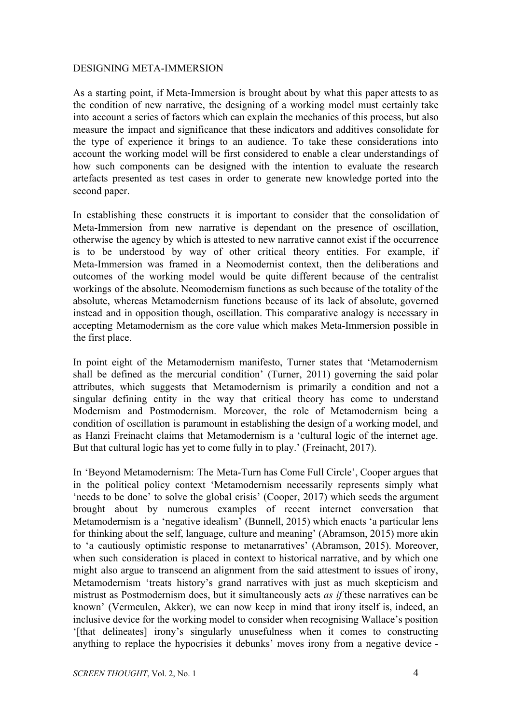# DESIGNING META-IMMERSION

As a starting point, if Meta-Immersion is brought about by what this paper attests to as the condition of new narrative, the designing of a working model must certainly take into account a series of factors which can explain the mechanics of this process, but also measure the impact and significance that these indicators and additives consolidate for the type of experience it brings to an audience. To take these considerations into account the working model will be first considered to enable a clear understandings of how such components can be designed with the intention to evaluate the research artefacts presented as test cases in order to generate new knowledge ported into the second paper.

In establishing these constructs it is important to consider that the consolidation of Meta-Immersion from new narrative is dependant on the presence of oscillation, otherwise the agency by which is attested to new narrative cannot exist if the occurrence is to be understood by way of other critical theory entities. For example, if Meta-Immersion was framed in a Neomodernist context, then the deliberations and outcomes of the working model would be quite different because of the centralist workings of the absolute. Neomodernism functions as such because of the totality of the absolute, whereas Metamodernism functions because of its lack of absolute, governed instead and in opposition though, oscillation. This comparative analogy is necessary in accepting Metamodernism as the core value which makes Meta-Immersion possible in the first place.

In point eight of the Metamodernism manifesto, Turner states that 'Metamodernism shall be defined as the mercurial condition' (Turner, 2011) governing the said polar attributes, which suggests that Metamodernism is primarily a condition and not a singular defining entity in the way that critical theory has come to understand Modernism and Postmodernism. Moreover, the role of Metamodernism being a condition of oscillation is paramount in establishing the design of a working model, and as Hanzi Freinacht claims that Metamodernism is a 'cultural logic of the internet age. But that cultural logic has yet to come fully in to play.' (Freinacht, 2017).

In 'Beyond Metamodernism: The Meta-Turn has Come Full Circle', Cooper argues that in the political policy context 'Metamodernism necessarily represents simply what 'needs to be done' to solve the global crisis' (Cooper, 2017) which seeds the argument brought about by numerous examples of recent internet conversation that Metamodernism is a 'negative idealism' (Bunnell, 2015) which enacts 'a particular lens for thinking about the self, language, culture and meaning' (Abramson, 2015) more akin to 'a cautiously optimistic response to metanarratives' (Abramson, 2015). Moreover, when such consideration is placed in context to historical narrative, and by which one might also argue to transcend an alignment from the said attestment to issues of irony, Metamodernism 'treats history's grand narratives with just as much skepticism and mistrust as Postmodernism does, but it simultaneously acts *as if* these narratives can be known' (Vermeulen, Akker), we can now keep in mind that irony itself is, indeed, an inclusive device for the working model to consider when recognising Wallace's position '[that delineates] irony's singularly unusefulness when it comes to constructing anything to replace the hypocrisies it debunks' moves irony from a negative device -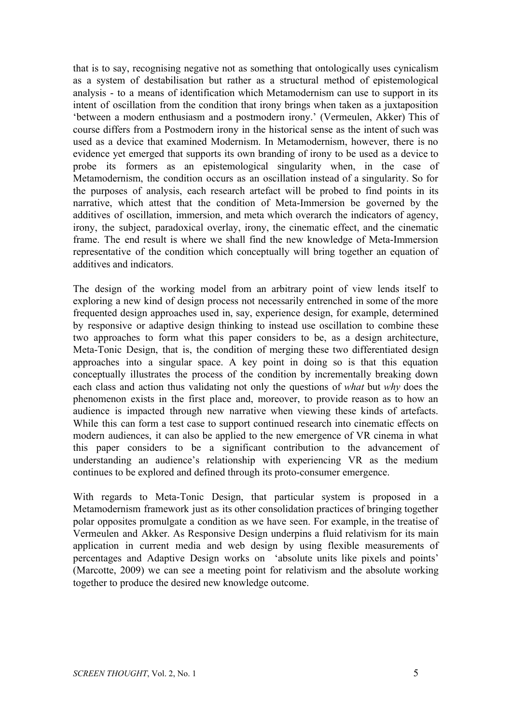that is to say, recognising negative not as something that ontologically uses cynicalism as a system of destabilisation but rather as a structural method of epistemological analysis - to a means of identification which Metamodernism can use to support in its intent of oscillation from the condition that irony brings when taken as a juxtaposition 'between a modern enthusiasm and a postmodern irony.' (Vermeulen, Akker) This of course differs from a Postmodern irony in the historical sense as the intent of such was used as a device that examined Modernism. In Metamodernism, however, there is no evidence yet emerged that supports its own branding of irony to be used as a device to probe its formers as an epistemological singularity when, in the case of Metamodernism, the condition occurs as an oscillation instead of a singularity. So for the purposes of analysis, each research artefact will be probed to find points in its narrative, which attest that the condition of Meta-Immersion be governed by the additives of oscillation, immersion, and meta which overarch the indicators of agency, irony, the subject, paradoxical overlay, irony, the cinematic effect, and the cinematic frame. The end result is where we shall find the new knowledge of Meta-Immersion representative of the condition which conceptually will bring together an equation of additives and indicators.

The design of the working model from an arbitrary point of view lends itself to exploring a new kind of design process not necessarily entrenched in some of the more frequented design approaches used in, say, experience design, for example, determined by responsive or adaptive design thinking to instead use oscillation to combine these two approaches to form what this paper considers to be, as a design architecture, Meta-Tonic Design, that is, the condition of merging these two differentiated design approaches into a singular space. A key point in doing so is that this equation conceptually illustrates the process of the condition by incrementally breaking down each class and action thus validating not only the questions of *what* but *why* does the phenomenon exists in the first place and, moreover, to provide reason as to how an audience is impacted through new narrative when viewing these kinds of artefacts. While this can form a test case to support continued research into cinematic effects on modern audiences, it can also be applied to the new emergence of VR cinema in what this paper considers to be a significant contribution to the advancement of understanding an audience's relationship with experiencing VR as the medium continues to be explored and defined through its proto-consumer emergence.

With regards to Meta-Tonic Design, that particular system is proposed in a Metamodernism framework just as its other consolidation practices of bringing together polar opposites promulgate a condition as we have seen. For example, in the treatise of Vermeulen and Akker. As Responsive Design underpins a fluid relativism for its main application in current media and web design by using flexible measurements of percentages and Adaptive Design works on 'absolute units like pixels and points' (Marcotte, 2009) we can see a meeting point for relativism and the absolute working together to produce the desired new knowledge outcome.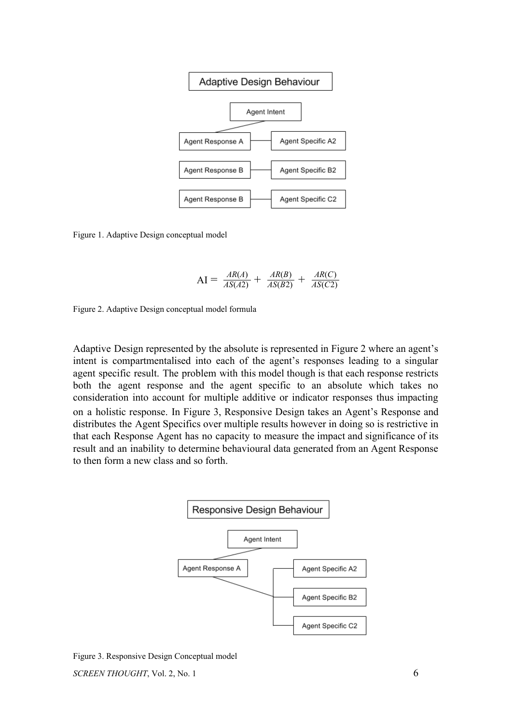

Figure 1. Adaptive Design conceptual model

$$
AI = \frac{AR(A)}{AS(A2)} + \frac{AR(B)}{AS(B2)} + \frac{AR(C)}{AS(C2)}
$$

Figure 2. Adaptive Design conceptual model formula

Adaptive Design represented by the absolute is represented in Figure 2 where an agent's intent is compartmentalised into each of the agent's responses leading to a singular agent specific result. The problem with this model though is that each response restricts both the agent response and the agent specific to an absolute which takes no consideration into account for multiple additive or indicator responses thus impacting on a holistic response. In Figure 3, Responsive Design takes an Agent's Response and distributes the Agent Specifics over multiple results however in doing so is restrictive in that each Response Agent has no capacity to measure the impact and significance of its result and an inability to determine behavioural data generated from an Agent Response to then form a new class and so forth.



Figure 3. Responsive Design Conceptual model *SCREEN THOUGHT*, Vol. 2, No. 1 6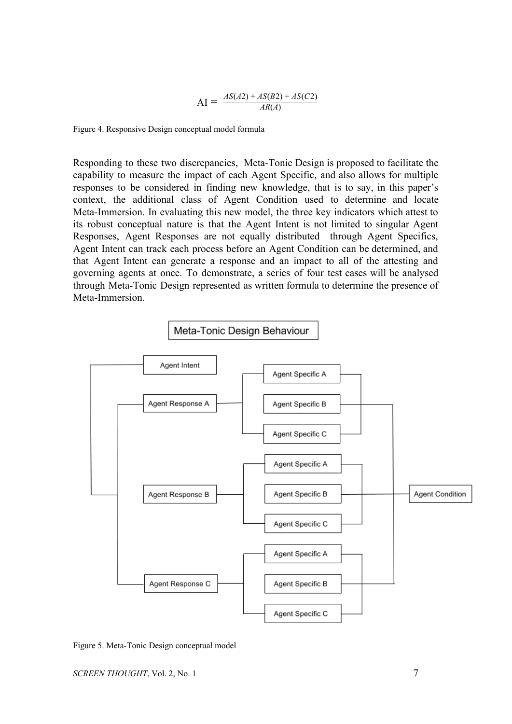$$
AI = \frac{AS(A2) + AS(B2) + AS(C2)}{AR(A)}
$$

Figure 4. Responsive Design conceptual model formula

Responding to these two discrepancies, Meta-Tonic Design is proposed to facilitate the capability to measure the impact of each Agent Specific, and also allows for multiple responses to be considered in finding new knowledge, that is to say, in this paper's context, the additional class of Agent Condition used to determine and locate Meta-Immersion. In evaluating this new model, the three key indicators which attest to its robust conceptual nature is that the Agent Intent is not limited to singular Agent Responses, Agent Responses are not equally distributed through Agent Specifics, Agent Intent can track each process before an Agent Condition can be determined, and that Agent Intent can generate a response and an impact to all of the attesting and governing agents at once. To demonstrate, a series of four test cases will be analysed through Meta-Tonic Design represented as written formula to determine the presence of Meta-Immersion.



Figure 5. Meta-Tonic Design conceptual model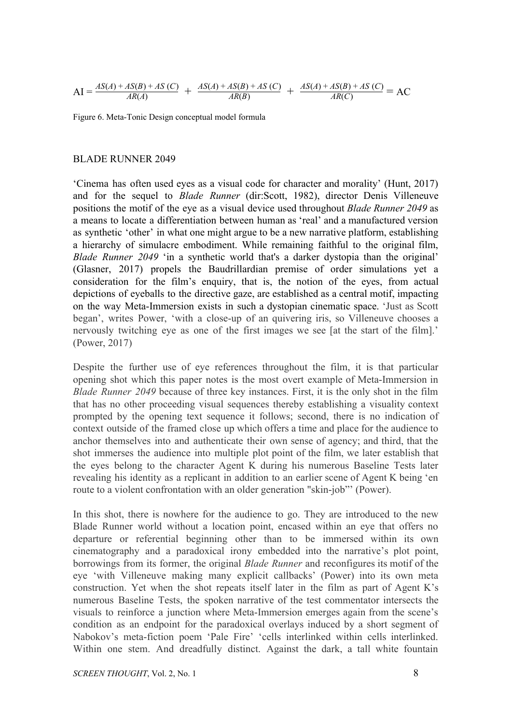$$
AI = \frac{AS(A) + AS(B) + AS(C)}{AR(A)} + \frac{AS(A) + AS(B) + AS(C)}{AR(B)} + \frac{AS(A) + AS(B) + AS(C)}{AR(C)} = AC
$$

Figure 6. Meta-Tonic Design conceptual model formula

#### BLADE RUNNER 2049

'Cinema has often used eyes as a visual code for character and morality' (Hunt, 2017) and for the sequel to *Blade Runner* (dir:Scott, 1982), director Denis Villeneuve positions the motif of the eye as a visual device used throughout *Blade Runner 2049* as a means to locate a differentiation between human as 'real' and a manufactured version as synthetic 'other' in what one might argue to be a new narrative platform, establishing a hierarchy of simulacre embodiment. While remaining faithful to the original film, *Blade Runner 2049* 'in a synthetic world that's a darker dystopia than the original' (Glasner, 2017) propels the Baudrillardian premise of order simulations yet a consideration for the film's enquiry, that is, the notion of the eyes, from actual depictions of eyeballs to the directive gaze, are established as a central motif, impacting on the way Meta-Immersion exists in such a dystopian cinematic space. 'Just as Scott began', writes Power, 'with a close-up of an quivering iris, so Villeneuve chooses a nervously twitching eye as one of the first images we see [at the start of the film].' (Power, 2017)

Despite the further use of eye references throughout the film, it is that particular opening shot which this paper notes is the most overt example of Meta-Immersion in *Blade Runner 2049* because of three key instances. First, it is the only shot in the film that has no other proceeding visual sequences thereby establishing a visuality context prompted by the opening text sequence it follows; second, there is no indication of context outside of the framed close up which offers a time and place for the audience to anchor themselves into and authenticate their own sense of agency; and third, that the shot immerses the audience into multiple plot point of the film, we later establish that the eyes belong to the character Agent K during his numerous Baseline Tests later revealing his identity as a replicant in addition to an earlier scene of Agent K being 'en route to a violent confrontation with an older generation "skin-job"' (Power).

In this shot, there is nowhere for the audience to go. They are introduced to the new Blade Runner world without a location point, encased within an eye that offers no departure or referential beginning other than to be immersed within its own cinematography and a paradoxical irony embedded into the narrative's plot point, borrowings from its former, the original *Blade Runner* and reconfigures its motif of the eye 'with Villeneuve making many explicit callbacks' (Power) into its own meta construction. Yet when the shot repeats itself later in the film as part of Agent K's numerous Baseline Tests, the spoken narrative of the test commentator intersects the visuals to reinforce a junction where Meta-Immersion emerges again from the scene's condition as an endpoint for the paradoxical overlays induced by a short segment of Nabokov's meta-fiction poem 'Pale Fire' 'cells interlinked within cells interlinked. Within one stem. And dreadfully distinct. Against the dark, a tall white fountain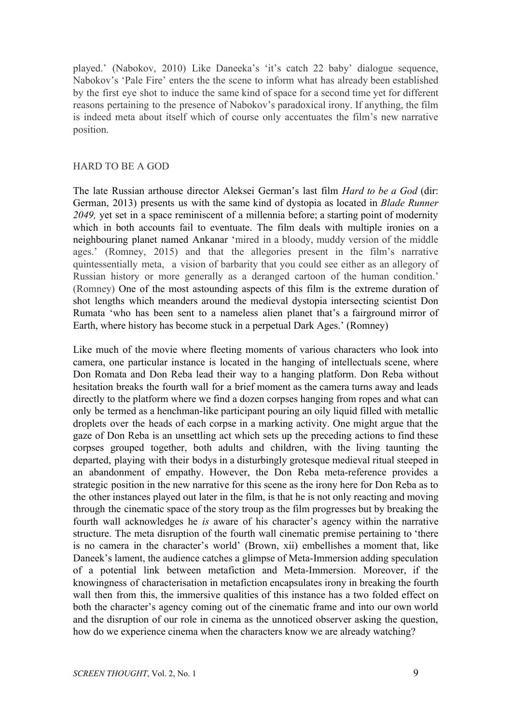played.' (Nabokov, 2010) Like Daneeka's 'it's catch 22 baby' dialogue sequence, Nabokov's 'Pale Fire' enters the the scene to inform what has already been established by the first eye shot to induce the same kind of space for a second time yet for different reasons pertaining to the presence of Nabokov's paradoxical irony. If anything, the film is indeed meta about itself which of course only accentuates the film's new narrative position.

#### HARD TO BE A GOD

The late Russian arthouse director Aleksei German's last film *Hard to be a God* (dir: German, 2013) presents us with the same kind of dystopia as located in *Blade Runner 2049,* yet set in a space reminiscent of a millennia before; a starting point of modernity which in both accounts fail to eventuate. The film deals with multiple ironies on a neighbouring planet named Ankanar 'mired in a bloody, muddy version of the middle ages.' (Romney, 2015) and that the allegories present in the film's narrative quintessentially meta, a vision of barbarity that you could see either as an allegory of Russian history or more generally as a deranged cartoon of the human condition.' (Romney) One of the most astounding aspects of this film is the extreme duration of shot lengths which meanders around the medieval dystopia intersecting scientist Don Rumata 'who has been sent to a nameless alien planet that's a fairground mirror of Earth, where history has become stuck in a perpetual Dark Ages.' (Romney)

Like much of the movie where fleeting moments of various characters who look into camera, one particular instance is located in the hanging of intellectuals scene, where Don Romata and Don Reba lead their way to a hanging platform. Don Reba without hesitation breaks the fourth wall for a brief moment as the camera turns away and leads directly to the platform where we find a dozen corpses hanging from ropes and what can only be termed as a henchman-like participant pouring an oily liquid filled with metallic droplets over the heads of each corpse in a marking activity. One might argue that the gaze of Don Reba is an unsettling act which sets up the preceding actions to find these corpses grouped together, both adults and children, with the living taunting the departed, playing with their bodys in a disturbingly grotesque medieval ritual steeped in an abandonment of empathy. However, the Don Reba meta-reference provides a strategic position in the new narrative for this scene as the irony here for Don Reba as to the other instances played out later in the film, is that he is not only reacting and moving through the cinematic space of the story troup as the film progresses but by breaking the fourth wall acknowledges he *is* aware of his character's agency within the narrative structure. The meta disruption of the fourth wall cinematic premise pertaining to 'there is no camera in the character's world' (Brown, xii) embellishes a moment that, like Daneek's lament, the audience catches a glimpse of Meta-Immersion adding speculation of a potential link between metafiction and Meta-Immersion. Moreover, if the knowingness of characterisation in metafiction encapsulates irony in breaking the fourth wall then from this, the immersive qualities of this instance has a two folded effect on both the character's agency coming out of the cinematic frame and into our own world and the disruption of our role in cinema as the unnoticed observer asking the question, how do we experience cinema when the characters know we are already watching?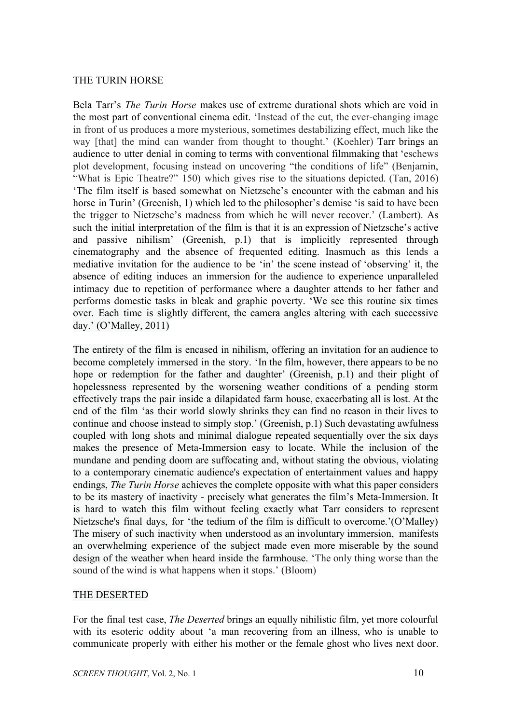# THE TURIN HORSE

Bela Tarr's *The Turin Horse* makes use of extreme durational shots which are void in the most part of conventional cinema edit. 'Instead of the cut, the ever-changing image in front of us produces a more mysterious, sometimes destabilizing effect, much like the way [that] the mind can wander from thought to thought.' (Koehler) Tarr brings an audience to utter denial in coming to terms with conventional filmmaking that 'eschews plot development, focusing instead on uncovering "the conditions of life" (Benjamin, "What is Epic Theatre?" 150) which gives rise to the situations depicted. (Tan, 2016) 'The film itself is based somewhat on Nietzsche's encounter with the cabman and his horse in Turin' (Greenish, 1) which led to the philosopher's demise 'is said to have been the trigger to Nietzsche's madness from which he will never recover.' (Lambert). As such the initial interpretation of the film is that it is an expression of Nietzsche's active and passive nihilism' (Greenish, p.1) that is implicitly represented through cinematography and the absence of frequented editing. Inasmuch as this lends a mediative invitation for the audience to be 'in' the scene instead of 'observing' it, the absence of editing induces an immersion for the audience to experience unparalleled intimacy due to repetition of performance where a daughter attends to her father and performs domestic tasks in bleak and graphic poverty. 'We see this routine six times over. Each time is slightly different, the camera angles altering with each successive day.' (O'Malley, 2011)

The entirety of the film is encased in nihilism, offering an invitation for an audience to become completely immersed in the story. 'In the film, however, there appears to be no hope or redemption for the father and daughter' (Greenish, p.1) and their plight of hopelessness represented by the worsening weather conditions of a pending storm effectively traps the pair inside a dilapidated farm house, exacerbating all is lost. At the end of the film 'as their world slowly shrinks they can find no reason in their lives to continue and choose instead to simply stop.' (Greenish, p.1) Such devastating awfulness coupled with long shots and minimal dialogue repeated sequentially over the six days makes the presence of Meta-Immersion easy to locate. While the inclusion of the mundane and pending doom are suffocating and, without stating the obvious, violating to a contemporary cinematic audience's expectation of entertainment values and happy endings, *The Turin Horse* achieves the complete opposite with what this paper considers to be its mastery of inactivity - precisely what generates the film's Meta-Immersion. It is hard to watch this film without feeling exactly what Tarr considers to represent Nietzsche's final days, for 'the tedium of the film is difficult to overcome.'(O'Malley) The misery of such inactivity when understood as an involuntary immersion, manifests an overwhelming experience of the subject made even more miserable by the sound design of the weather when heard inside the farmhouse. 'The only thing worse than the sound of the wind is what happens when it stops.' (Bloom)

### THE DESERTED

For the final test case, *The Deserted* brings an equally nihilistic film, yet more colourful with its esoteric oddity about 'a man recovering from an illness, who is unable to communicate properly with either his mother or the female ghost who lives next door.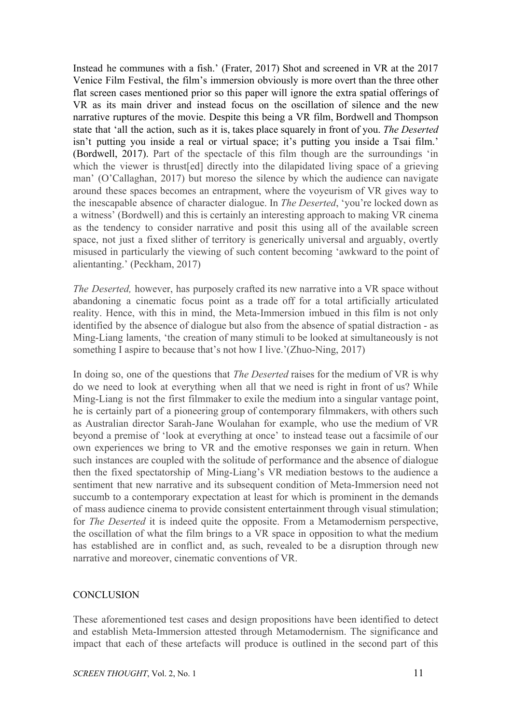Instead he communes with a fish.' (Frater, 2017) Shot and screened in VR at the 2017 Venice Film Festival, the film's immersion obviously is more overt than the three other flat screen cases mentioned prior so this paper will ignore the extra spatial offerings of VR as its main driver and instead focus on the oscillation of silence and the new narrative ruptures of the movie. Despite this being a VR film, Bordwell and Thompson state that 'all the action, such as it is, takes place squarely in front of you. *The Deserted* isn't putting you inside a real or virtual space; it's putting you inside a Tsai film.' (Bordwell, 2017). Part of the spectacle of this film though are the surroundings 'in which the viewer is thrust[ed] directly into the dilapidated living space of a grieving man' (O'Callaghan, 2017) but moreso the silence by which the audience can navigate around these spaces becomes an entrapment, where the voyeurism of VR gives way to the inescapable absence of character dialogue. In *The Deserted*, 'you're locked down as a witness' (Bordwell) and this is certainly an interesting approach to making VR cinema as the tendency to consider narrative and posit this using all of the available screen space, not just a fixed slither of territory is generically universal and arguably, overtly misused in particularly the viewing of such content becoming 'awkward to the point of alientanting.' (Peckham, 2017)

*The Deserted,* however, has purposely crafted its new narrative into a VR space without abandoning a cinematic focus point as a trade off for a total artificially articulated reality. Hence, with this in mind, the Meta-Immersion imbued in this film is not only identified by the absence of dialogue but also from the absence of spatial distraction - as Ming-Liang laments, 'the creation of many stimuli to be looked at simultaneously is not something I aspire to because that's not how I live.'(Zhuo-Ning, 2017)

In doing so, one of the questions that *The Deserted* raises for the medium of VR is why do we need to look at everything when all that we need is right in front of us? While Ming-Liang is not the first filmmaker to exile the medium into a singular vantage point, he is certainly part of a pioneering group of contemporary filmmakers, with others such as Australian director Sarah-Jane Woulahan for example, who use the medium of VR beyond a premise of 'look at everything at once' to instead tease out a facsimile of our own experiences we bring to VR and the emotive responses we gain in return. When such instances are coupled with the solitude of performance and the absence of dialogue then the fixed spectatorship of Ming-Liang's VR mediation bestows to the audience a sentiment that new narrative and its subsequent condition of Meta-Immersion need not succumb to a contemporary expectation at least for which is prominent in the demands of mass audience cinema to provide consistent entertainment through visual stimulation; for *The Deserted* it is indeed quite the opposite. From a Metamodernism perspective, the oscillation of what the film brings to a VR space in opposition to what the medium has established are in conflict and, as such, revealed to be a disruption through new narrative and moreover, cinematic conventions of VR.

# **CONCLUSION**

These aforementioned test cases and design propositions have been identified to detect and establish Meta-Immersion attested through Metamodernism. The significance and impact that each of these artefacts will produce is outlined in the second part of this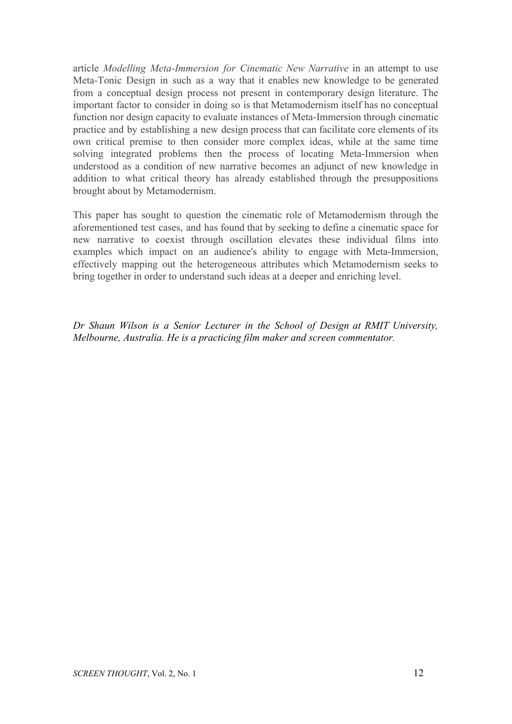article *Modelling Meta-Immersion for Cinematic New Narrative* in an attempt to use Meta-Tonic Design in such as a way that it enables new knowledge to be generated from a conceptual design process not present in contemporary design literature. The important factor to consider in doing so is that Metamodernism itself has no conceptual function nor design capacity to evaluate instances of Meta-Immersion through cinematic practice and by establishing a new design process that can facilitate core elements of its own critical premise to then consider more complex ideas, while at the same time solving integrated problems then the process of locating Meta-Immersion when understood as a condition of new narrative becomes an adjunct of new knowledge in addition to what critical theory has already established through the presuppositions brought about by Metamodernism.

This paper has sought to question the cinematic role of Metamodernism through the aforementioned test cases, and has found that by seeking to define a cinematic space for new narrative to coexist through oscillation elevates these individual films into examples which impact on an audience's ability to engage with Meta-Immersion, effectively mapping out the heterogeneous attributes which Metamodernism seeks to bring together in order to understand such ideas at a deeper and enriching level.

*Dr Shaun Wilson is a Senior Lecturer in the School of Design at RMIT University, Melbourne, Australia. He is a practicing film maker and screen commentator.*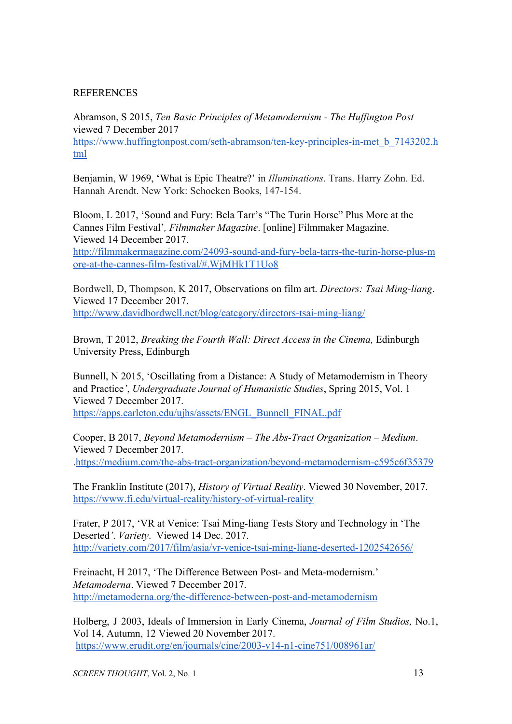# **REFERENCES**

Abramson, S 2015, *Ten Basic Principles of Metamodernism - The Huffington Post* viewed 7 December 2017 [https://www.huffingtonpost.com/seth-abramson/ten-key-principles-in-met\\_b\\_7143202.h](https://www.huffingtonpost.com/seth-abramson/ten-key-principles-in-met_b_7143202.html) [tml](https://www.huffingtonpost.com/seth-abramson/ten-key-principles-in-met_b_7143202.html)

Benjamin, W 1969, 'What is Epic Theatre?' in *Illuminations*. Trans. Harry Zohn. Ed. Hannah Arendt. New York: Schocken Books, 147-154.

Bloom, L 2017, 'Sound and Fury: Bela Tarr's "The Turin Horse" Plus More at the Cannes Film Festival'*, Filmmaker Magazine*. [online] Filmmaker Magazine. Viewed 14 December 2017.

[http://filmmakermagazine.com/24093-sound-and-fury-bela-tarrs-the-turin-horse-plus-m](http://filmmakermagazine.com/24093-sound-and-fury-bela-tarrs-the-turin-horse-plus-more-at-the-cannes-film-festival/#.WjMHk1T1Uo8) [ore-at-the-cannes-film-festival/#.WjMHk1T1Uo8](http://filmmakermagazine.com/24093-sound-and-fury-bela-tarrs-the-turin-horse-plus-more-at-the-cannes-film-festival/#.WjMHk1T1Uo8)

Bordwell, D, Thompson, K 2017, Observations on film art. *Directors: Tsai Ming-liang*. Viewed 17 December 2017. <http://www.davidbordwell.net/blog/category/directors-tsai-ming-liang/>

Brown, T 2012, *Breaking the Fourth Wall: Direct Access in the Cinema,* Edinburgh University Press, Edinburgh

Bunnell, N 2015, 'Oscillating from a Distance: A Study of Metamodernism in Theory and Practice*'*, *Undergraduate Journal of Humanistic Studies*, Spring 2015, Vol. 1 Viewed 7 December 2017. [https://apps.carleton.edu/ujhs/assets/ENGL\\_Bunnell\\_FINAL.pdf](https://apps.carleton.edu/ujhs/assets/ENGL_Bunnell_FINAL.pdf)

Cooper, B 2017, *Beyond Metamodernism – The Abs-Tract Organization – Medium*. Viewed 7 December 2017. [.https://medium.com/the-abs-tract-organization/beyond-metamodernism-c595c6f35379](https://medium.com/the-abs-tract-organization/beyond-metamodernism-c595c6f35379)

The Franklin Institute (2017), *History of Virtual Reality*. Viewed 30 November, 2017. <https://www.fi.edu/virtual-reality/history-of-virtual-reality>

Frater, P 2017, 'VR at Venice: Tsai Ming-liang Tests Story and Technology in 'The Deserted*'*. *Variety*. Viewed 14 Dec. 2017. <http://variety.com/2017/film/asia/vr-venice-tsai-ming-liang-deserted-1202542656/>

Freinacht, H 2017, 'The Difference Between Post- and Meta-modernism.' *Metamoderna*. Viewed 7 December 2017. <http://metamoderna.org/the-difference-between-post-and-metamodernism>

Holberg, J 2003, Ideals of Immersion in Early Cinema, *Journal of Film Studios,* No.1, Vol 14, Autumn, 12 Viewed 20 November 2017. <https://www.erudit.org/en/journals/cine/2003-v14-n1-cine751/008961ar/>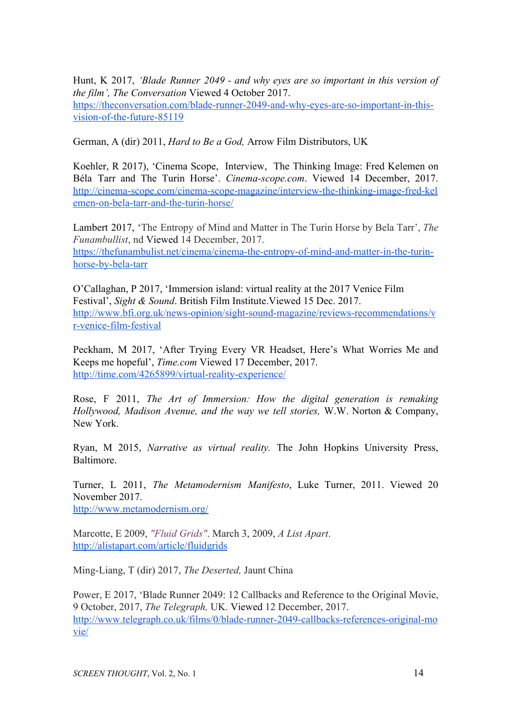Hunt, K 2017, *'Blade Runner 2049 - and why eyes are so important in this version of the film', The Conversation* Viewed 4 October 2017. [https://theconversation.com/blade-runner-2049-and-why-eyes-are-so-important-in-this](https://theconversation.com/blade-runner-2049-and-why-eyes-are-so-important-in-this-vision-of-the-future-85119)[vision-of-the-future-85119](https://theconversation.com/blade-runner-2049-and-why-eyes-are-so-important-in-this-vision-of-the-future-85119)

German, A (dir) 2011, *Hard to Be a God,* Arrow Film Distributors, UK

Koehler, R 2017), 'Cinema Scope, Interview, The Thinking Image: Fred Kelemen on Béla Tarr and The Turin Horse'. *Cinema-scope.com*. Viewed 14 December, 2017. [http://cinema-scope.com/cinema-scope-magazine/interview-the-thinking-image-fred-kel](http://cinema-scope.com/cinema-scope-magazine/interview-the-thinking-image-fred-kelemen-on-bela-tarr-and-the-turin-horse/) [emen-on-bela-tarr-and-the-turin-horse/](http://cinema-scope.com/cinema-scope-magazine/interview-the-thinking-image-fred-kelemen-on-bela-tarr-and-the-turin-horse/)

Lambert 2017, 'The Entropy of Mind and Matter in The Turin Horse by Bela Tarr', *The Funambullist*, nd Viewed 14 December, 2017. [https://thefunambulist.net/cinema/cinema-the-entropy-of-mind-and-matter-in-the-turin](https://thefunambulist.net/cinema/cinema-the-entropy-of-mind-and-matter-in-the-turin-horse-by-bela-tarr)[horse-by-bela-tarr](https://thefunambulist.net/cinema/cinema-the-entropy-of-mind-and-matter-in-the-turin-horse-by-bela-tarr)

O'Callaghan, P 2017, 'Immersion island: virtual reality at the 2017 Venice Film Festival', *Sight & Sound*. British Film Institute.Viewed 15 Dec. 2017. [http://www.bfi.org.uk/news-opinion/sight-sound-magazine/reviews-recommendations/v](http://www.bfi.org.uk/news-opinion/sight-sound-magazine/reviews-recommendations/vr-venice-film-festival) [r-venice-film-festival](http://www.bfi.org.uk/news-opinion/sight-sound-magazine/reviews-recommendations/vr-venice-film-festival)

Peckham, M 2017, 'After Trying Every VR Headset, Here's What Worries Me and Keeps me hopeful', *Time.com* Viewed 17 December, 2017. <http://time.com/4265899/virtual-reality-experience/>

Rose, F 2011, *The Art of Immersion: How the digital generation is remaking Hollywood, Madison Avenue, and the way we tell stories,* W.W. Norton & Company, New York.

Ryan, M 2015, *Narrative as virtual reality.* The John Hopkins University Press, Baltimore.

Turner, L 2011, *The Metamodernism Manifesto*, Luke Turner, 2011. Viewed 20 November 2017. <http://www.metamodernism.org/>

Marcotte, E 2009, *"Fluid [Grids"](http://www.alistapart.com/articles/fluidgrids/)*. March 3, 2009, *A List Apart*. <http://alistapart.com/article/fluidgrids>

Ming-Liang, T (dir) 2017, *The Deserted,* Jaunt China

Power, E 2017, 'Blade Runner 2049: 12 Callbacks and Reference to the Original Movie, 9 October, 2017, *The Telegraph,* UK. Viewed 12 December, 2017. [http://www.telegraph.co.uk/films/0/blade-runner-2049-callbacks-references-original-mo](http://www.telegraph.co.uk/films/0/blade-runner-2049-callbacks-references-original-movie/) [vie/](http://www.telegraph.co.uk/films/0/blade-runner-2049-callbacks-references-original-movie/)